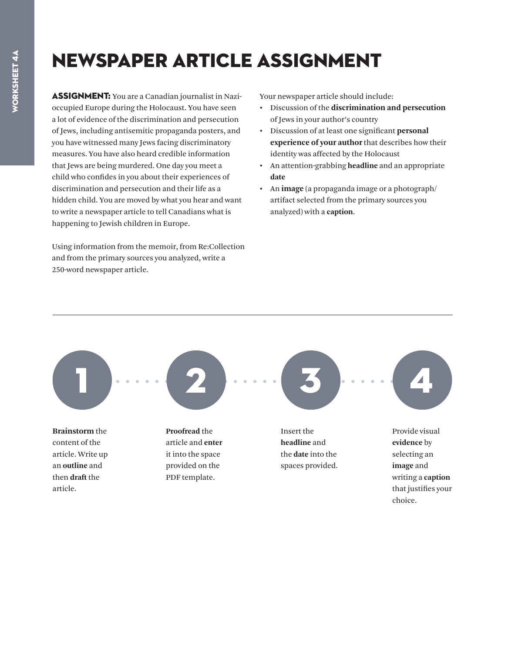## Newspaper Article Assignment

**ASSIGNMENT:** You are a Canadian journalist in Nazioccupied Europe during the Holocaust. You have seen a lot of evidence of the discrimination and persecution of Jews, including antisemitic propaganda posters, and you have witnessed many Jews facing discriminatory measures. You have also heard credible information that Jews are being murdered. One day you meet a child who confides in you about their experiences of discrimination and persecution and their life as a hidden child. You are moved by what you hear and want to write a newspaper article to tell Canadians what is happening to Jewish children in Europe.

Using information from the memoir, from Re:Collection and from the primary sources you analyzed, write a 250-word newspaper article.

Your newspaper article should include:

- Discussion of the **discrimination and persecution** of Jews in your author's country
- Discussion of at least one significant **personal experience of your author** that describes how their identity was affected by the Holocaust
- An attention-grabbing **headline** and an appropriate **date**
- An **image** (a propaganda image or a photograph/ artifact selected from the primary sources you analyzed) with a **caption**.

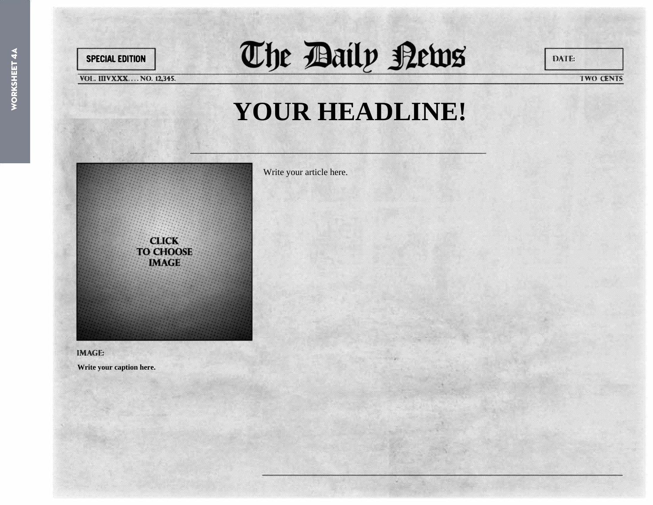

The Baily News

**VOL. IIIVXXX....NO. 12,345.** 

DATE:

**TWO CENTS** 

## YOUR HEADLINE!

**CLICK TO CHOOSE IMAGE** 

Write your article here.

**IMAGE:** 

Write your caption here.